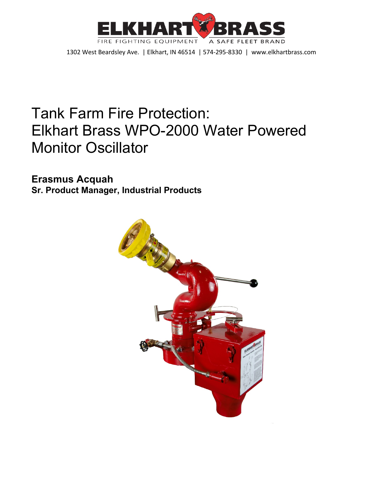

# Tank Farm Fire Protection: Elkhart Brass WPO-2000 Water Powered Monitor Oscillator

**Erasmus Acquah Sr. Product Manager, Industrial Products**

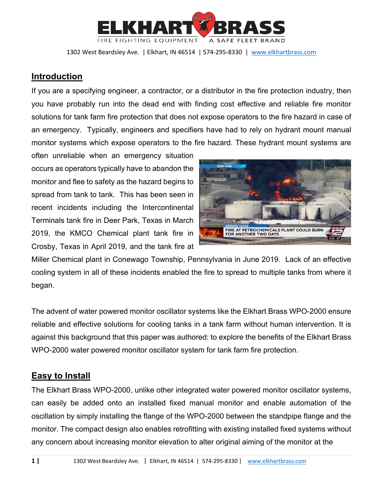

## **Introduction**

If you are a specifying engineer, a contractor, or a distributor in the fire protection industry, then you have probably run into the dead end with finding cost effective and reliable fire monitor solutions for tank farm fire protection that does not expose operators to the fire hazard in case of an emergency. Typically, engineers and specifiers have had to rely on hydrant mount manual monitor systems which expose operators to the fire hazard. These hydrant mount systems are

often unreliable when an emergency situation occurs as operators typically have to abandon the monitor and flee to safety as the hazard begins to spread from tank to tank. This has been seen in recent incidents including the Intercontinental Terminals tank fire in Deer Park, Texas in March 2019, the KMCO Chemical plant tank fire in Crosby, Texas in April 2019, and the tank fire at



Miller Chemical plant in Conewago Township, Pennsylvania in June 2019. Lack of an effective cooling system in all of these incidents enabled the fire to spread to multiple tanks from where it began.

The advent of water powered monitor oscillator systems like the Elkhart Brass WPO-2000 ensure reliable and effective solutions for cooling tanks in a tank farm without human intervention. It is against this background that this paper was authored: to explore the benefits of the Elkhart Brass WPO-2000 water powered monitor oscillator system for tank farm fire protection.

# **Easy to Install**

The Elkhart Brass WPO-2000, unlike other integrated water powered monitor oscillator systems, can easily be added onto an installed fixed manual monitor and enable automation of the oscillation by simply installing the flange of the WPO-2000 between the standpipe flange and the monitor. The compact design also enables retrofitting with existing installed fixed systems without any concern about increasing monitor elevation to alter original aiming of the monitor at the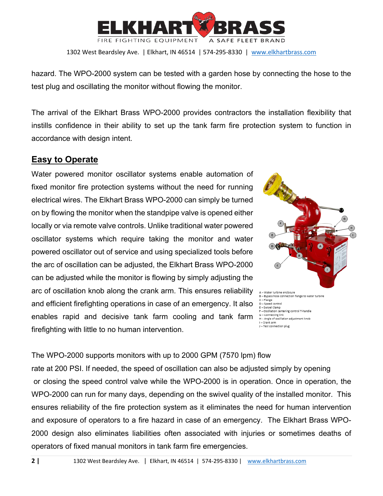

hazard. The WPO-2000 system can be tested with a garden hose by connecting the hose to the test plug and oscillating the monitor without flowing the monitor.

The arrival of the Elkhart Brass WPO-2000 provides contractors the installation flexibility that instills confidence in their ability to set up the tank farm fire protection system to function in accordance with design intent.

#### **Easy to Operate**

Water powered monitor oscillator systems enable automation of fixed monitor fire protection systems without the need for running electrical wires. The Elkhart Brass WPO-2000 can simply be turned on by flowing the monitor when the standpipe valve is opened either locally or via remote valve controls. Unlike traditional water powered oscillator systems which require taking the monitor and water powered oscillator out of service and using specialized tools before the arc of oscillation can be adjusted, the Elkhart Brass WPO-2000 can be adjusted while the monitor is flowing by simply adjusting the arc of oscillation knob along the crank arm. This ensures reliability and efficient firefighting operations in case of an emergency. It also enables rapid and decisive tank farm cooling and tank farm firefighting with little to no human intervention.



The WPO-2000 supports monitors with up to 2000 GPM (7570 lpm) flow

rate at 200 PSI. If needed, the speed of oscillation can also be adjusted simply by opening or closing the speed control valve while the WPO-2000 is in operation. Once in operation, the WPO-2000 can run for many days, depending on the swivel quality of the installed monitor. This ensures reliability of the fire protection system as it eliminates the need for human intervention and exposure of operators to a fire hazard in case of an emergency. The Elkhart Brass WPO-2000 design also eliminates liabilities often associated with injuries or sometimes deaths of operators of fixed manual monitors in tank farm fire emergencies.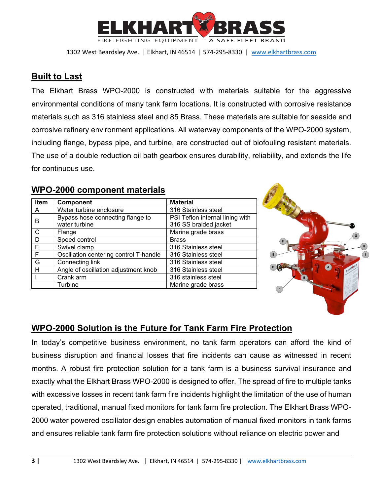

#### **Built to Last**

The Elkhart Brass WPO-2000 is constructed with materials suitable for the aggressive environmental conditions of many tank farm locations. It is constructed with corrosive resistance materials such as 316 stainless steel and 85 Brass. These materials are suitable for seaside and corrosive refinery environment applications. All waterway components of the WPO-2000 system, including flange, bypass pipe, and turbine, are constructed out of biofouling resistant materials. The use of a double reduction oil bath gearbox ensures durability, reliability, and extends the life for continuous use.

| Item | <b>Component</b>                       | <b>Material</b>                 |
|------|----------------------------------------|---------------------------------|
| A    | Water turbine enclosure                | 316 Stainless steel             |
| в    | Bypass hose connecting flange to       | PSI Teflon internal lining with |
|      | water turbine                          | 316 SS braided jacket           |
| C    | Flange                                 | Marine grade brass              |
| D    | Speed control                          | <b>Brass</b>                    |
| Е    | Swivel clamp                           | 316 Stainless steel             |
| F    | Oscillation centering control T-handle | 316 Stainless steel             |
| G    | Connecting link                        | 316 Stainless steel             |
| Н    | Angle of oscillation adjustment knob   | 316 Stainless steel             |
|      | Crank arm                              | 316 stainless steel             |
|      | Turbine                                | Marine grade brass              |

## **WPO-2000 component materials**



# **WPO-2000 Solution is the Future for Tank Farm Fire Protection**

In today's competitive business environment, no tank farm operators can afford the kind of business disruption and financial losses that fire incidents can cause as witnessed in recent months. A robust fire protection solution for a tank farm is a business survival insurance and exactly what the Elkhart Brass WPO-2000 is designed to offer. The spread of fire to multiple tanks with excessive losses in recent tank farm fire incidents highlight the limitation of the use of human operated, traditional, manual fixed monitors for tank farm fire protection. The Elkhart Brass WPO-2000 water powered oscillator design enables automation of manual fixed monitors in tank farms and ensures reliable tank farm fire protection solutions without reliance on electric power and